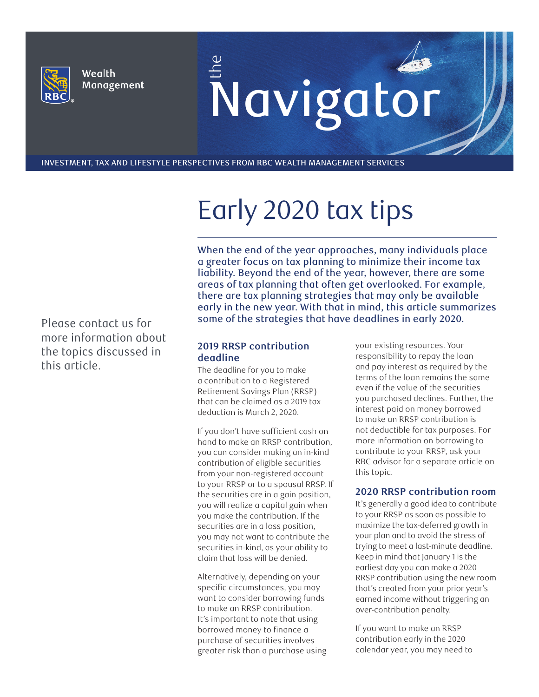

Wealth Management E<br>Navigator

INVESTMENT, TAX AND LIFESTYLE PERSPECTIVES FROM RBC WEALTH MANAGEMENT SERVICES

# Early 2020 tax tips

When the end of the year approaches, many individuals place a greater focus on tax planning to minimize their income tax liability. Beyond the end of the year, however, there are some areas of tax planning that often get overlooked. For example, there are tax planning strategies that may only be available early in the new year. With that in mind, this article summarizes some of the strategies that have deadlines in early 2020.

#### **2019 RRSP contribution deadline**

The deadline for you to make a contribution to a Registered Retirement Savings Plan (RRSP) that can be claimed as a 2019 tax deduction is March 2, 2020.

If you don't have sufficient cash on hand to make an RRSP contribution, you can consider making an in-kind contribution of eligible securities from your non-registered account to your RRSP or to a spousal RRSP. If the securities are in a gain position, you will realize a capital gain when you make the contribution. If the securities are in a loss position, you may not want to contribute the securities in-kind, as your ability to claim that loss will be denied.

Alternatively, depending on your specific circumstances, you may want to consider borrowing funds to make an RRSP contribution. It's important to note that using borrowed money to finance a purchase of securities involves greater risk than a purchase using your existing resources. Your responsibility to repay the loan and pay interest as required by the terms of the loan remains the same even if the value of the securities you purchased declines. Further, the interest paid on money borrowed to make an RRSP contribution is not deductible for tax purposes. For more information on borrowing to contribute to your RRSP, ask your RBC advisor for a separate article on this topic.

#### **2020 RRSP contribution room**

It's generally a good idea to contribute to your RRSP as soon as possible to maximize the tax-deferred growth in your plan and to avoid the stress of trying to meet a last-minute deadline. Keep in mind that January 1 is the earliest day you can make a 2020 RRSP contribution using the new room that's created from your prior year's earned income without triggering an over-contribution penalty.

If you want to make an RRSP contribution early in the 2020 calendar year, you may need to

Please contact us for more information about the topics discussed in this article.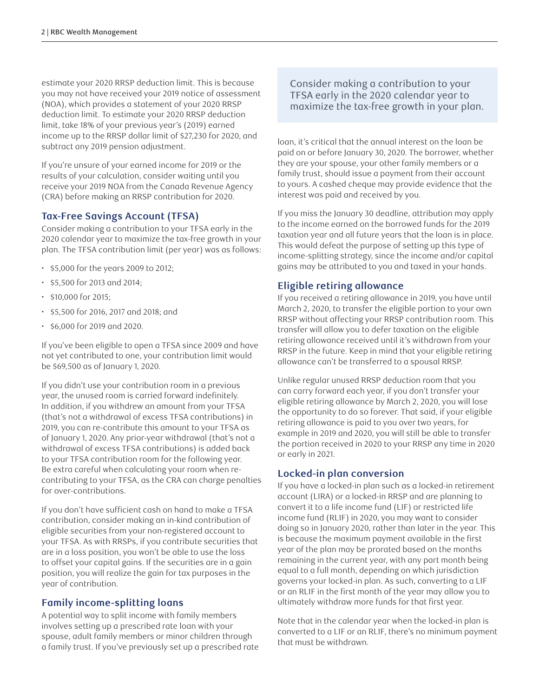estimate your 2020 RRSP deduction limit. This is because you may not have received your 2019 notice of assessment (NOA), which provides a statement of your 2020 RRSP deduction limit. To estimate your 2020 RRSP deduction limit, take 18% of your previous year's (2019) earned income up to the RRSP dollar limit of \$27,230 for 2020, and subtract any 2019 pension adjustment.

If you're unsure of your earned income for 2019 or the results of your calculation, consider waiting until you receive your 2019 NOA from the Canada Revenue Agency (CRA) before making an RRSP contribution for 2020.

## **Tax-Free Savings Account (TFSA)**

Consider making a contribution to your TFSA early in the 2020 calendar year to maximize the tax-free growth in your plan. The TFSA contribution limit (per year) was as follows:

- \$5,000 for the years 2009 to 2012;
- \$5,500 for 2013 and 2014;
- \$10,000 for 2015;
- \$5,500 for 2016, 2017 and 2018; and
- $\cdot$  \$6,000 for 2019 and 2020.

If you've been eligible to open a TFSA since 2009 and have not yet contributed to one, your contribution limit would be \$69,500 as of January 1, 2020.

If you didn't use your contribution room in a previous year, the unused room is carried forward indefinitely. In addition, if you withdrew an amount from your TFSA (that's not a withdrawal of excess TFSA contributions) in 2019, you can re-contribute this amount to your TFSA as of January 1, 2020. Any prior-year withdrawal (that's not a withdrawal of excess TFSA contributions) is added back to your TFSA contribution room for the following year. Be extra careful when calculating your room when recontributing to your TFSA, as the CRA can charge penalties for over-contributions.

If you don't have sufficient cash on hand to make a TFSA contribution, consider making an in-kind contribution of eligible securities from your non-registered account to your TFSA. As with RRSPs, if you contribute securities that are in a loss position, you won't be able to use the loss to offset your capital gains. If the securities are in a gain position, you will realize the gain for tax purposes in the year of contribution.

## **Family income-splitting loans**

A potential way to split income with family members involves setting up a prescribed rate loan with your spouse, adult family members or minor children through a family trust. If you've previously set up a prescribed rate Consider making a contribution to your TFSA early in the 2020 calendar year to maximize the tax-free growth in your plan.

loan, it's critical that the annual interest on the loan be paid on or before January 30, 2020. The borrower, whether they are your spouse, your other family members or a family trust, should issue a payment from their account to yours. A cashed cheque may provide evidence that the interest was paid and received by you.

If you miss the January 30 deadline, attribution may apply to the income earned on the borrowed funds for the 2019 taxation year and all future years that the loan is in place. This would defeat the purpose of setting up this type of income-splitting strategy, since the income and/or capital gains may be attributed to you and taxed in your hands.

## **Eligible retiring allowance**

If you received a retiring allowance in 2019, you have until March 2, 2020, to transfer the eligible portion to your own RRSP without affecting your RRSP contribution room. This transfer will allow you to defer taxation on the eligible retiring allowance received until it's withdrawn from your RRSP in the future. Keep in mind that your eligible retiring allowance can't be transferred to a spousal RRSP.

Unlike regular unused RRSP deduction room that you can carry forward each year, if you don't transfer your eligible retiring allowance by March 2, 2020, you will lose the opportunity to do so forever. That said, if your eligible retiring allowance is paid to you over two years, for example in 2019 and 2020, you will still be able to transfer the portion received in 2020 to your RRSP any time in 2020 or early in 2021.

## **Locked-in plan conversion**

If you have a locked-in plan such as a locked-in retirement account (LIRA) or a locked-in RRSP and are planning to convert it to a life income fund (LIF) or restricted life income fund (RLIF) in 2020, you may want to consider doing so in January 2020, rather than later in the year. This is because the maximum payment available in the first year of the plan may be prorated based on the months remaining in the current year, with any part month being equal to a full month, depending on which jurisdiction governs your locked-in plan. As such, converting to a LIF or an RLIF in the first month of the year may allow you to ultimately withdraw more funds for that first year.

Note that in the calendar year when the locked-in plan is converted to a LIF or an RLIF, there's no minimum payment that must be withdrawn.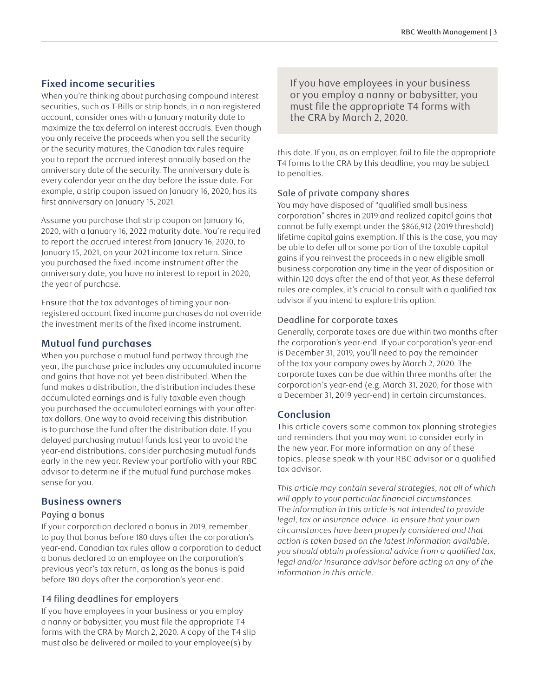# **Fixed income securities**

When you're thinking about purchasing compound interest securities, such as T-Bills or strip bonds, in a non-registered account, consider ones with a January maturity date to maximize the tax deferral on interest accruals. Even though you only receive the proceeds when you sell the security or the security matures, the Canadian tax rules require you to report the accrued interest annually based on the anniversary date of the security. The anniversary date is every calendar year on the day before the issue date. For example, a strip coupon issued on January 16, 2020, has its first anniversary on January 15, 2021.

Assume you purchase that strip coupon on January 16, 2020, with a January 16, 2022 maturity date. You're required to report the accrued interest from January 16, 2020, to January 15, 2021, on your 2021 income tax return. Since you purchased the fixed income instrument after the anniversary date, you have no interest to report in 2020, the year of purchase.

Ensure that the tax advantages of timing your nonregistered account fixed income purchases do not override the investment merits of the fixed income instrument.

## **Mutual fund purchases**

When you purchase a mutual fund partway through the year, the purchase price includes any accumulated income and gains that have not yet been distributed. When the fund makes a distribution, the distribution includes these accumulated earnings and is fully taxable even though you purchased the accumulated earnings with your aftertax dollars. One way to avoid receiving this distribution is to purchase the fund after the distribution date. If you delayed purchasing mutual funds last year to avoid the year-end distributions, consider purchasing mutual funds early in the new year. Review your portfolio with your RBC advisor to determine if the mutual fund purchase makes sense for you.

#### **Business owners**

#### Paying a bonus

If your corporation declared a bonus in 2019, remember to pay that bonus before 180 days after the corporation's year-end. Canadian tax rules allow a corporation to deduct a bonus declared to an employee on the corporation's previous year's tax return, as long as the bonus is paid before 180 days after the corporation's year-end.

#### T4 filing deadlines for employers

If you have employees in your business or you employ a nanny or babysitter, you must file the appropriate T4 forms with the CRA by March 2, 2020. A copy of the T4 slip must also be delivered or mailed to your employee(s) by

If you have employees in your business or you employ a nanny or babysitter, you must file the appropriate T4 forms with the CRA by March 2, 2020.

this date. If you, as an employer, fail to file the appropriate T4 forms to the CRA by this deadline, you may be subject to penalties.

#### Sale of private company shares

You may have disposed of "qualified small business corporation" shares in 2019 and realized capital gains that cannot be fully exempt under the \$866,912 (2019 threshold) lifetime capital gains exemption. If this is the case, you may be able to defer all or some portion of the taxable capital gains if you reinvest the proceeds in a new eligible small business corporation any time in the year of disposition or within 120 days after the end of that year. As these deferral rules are complex, it's crucial to consult with a qualified tax advisor if you intend to explore this option.

#### Deadline for corporate taxes

Generally, corporate taxes are due within two months after the corporation's year-end. If your corporation's year-end is December 31, 2019, you'll need to pay the remainder of the tax your company owes by March 2, 2020. The corporate taxes can be due within three months after the corporation's year-end (e.g. March 31, 2020, for those with a December 31, 2019 year-end) in certain circumstances.

## **Conclusion**

This article covers some common tax planning strategies and reminders that you may want to consider early in the new year. For more information on any of these topics, please speak with your RBC advisor or a qualified tax advisor.

*This article may contain several strategies, not all of which will apply to your particular financial circumstances. The information in this article is not intended to provide legal, tax or insurance advice. To ensure that your own circumstances have been properly considered and that action is taken based on the latest information available, you should obtain professional advice from a qualified tax, legal and/or insurance advisor before acting on any of the information in this article.*